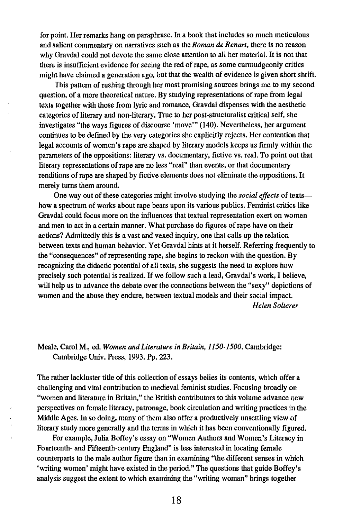for point. Her remarks hang on paraphrase. In a book that includes so much meticulous and salient commentary on narratives such as the *Roman de Renart,* there is no reason why Gravdal could not devote the same close attention to all her material. It is not that there is insufficient evidence for seeing the red of rape, as some curmudgeonly critics might have claimed a generation ago, but that the wealth of evidence is given short shrift.

This pattern of rushing through her most promising sources brings me to my second question, of a more theoretical nature. By studying representations of rape from legal texts together with those from lyric and romance, Gravdal dispenses with the aesthetic categories of literary and non-literary. True to her post-structuralist critical self, she investigates "the ways figures of discourse 'move'" (140). Nevertheless, her argument continues to be defined by the very categories she explicitly rejects. Her contention that legal accounts of women's rape are shaped by literary models keeps us firmly within the parameters of the oppositions: literary vs. documentary, fictive vs. real. To point out that literary representations of rape are no less "real" than events, or that documentary renditions of rape are shaped by fictive elements does not eliminate the oppositions. It merely turns them around.

One way out of these categories might involve studying the *social effects* of textshow a spectrum of works about rape bears upon its various publics. Feminist critics like Gravdal could focus more on the influences that textual representation exert on women and men to act in a certain manner. What purchase do figures of rape have on their actions? Admittedly this is a vast and vexed inquiry, one that calls up the relation between texts and human behavior. Yet Gravdal hints at it herself. Referring frequently to the "consequences" of representing rape, she begins to reckon with the question. By recognizing the didactic potential of all texts, she suggests the need to explore how precisely such potential is realized. If we follow such a lead, Gravdal's work, I believe, will help us to advance the debate over the connections between the "sexy" depictions of women and the abuse they endure, between textual models and their social impact. *Helen Solterer* 

## Meale, Carol M., ed. *Women and Literature in Britain, 1150-1500.* Cambridge: Cambridge Univ. Press, 1993. pp. 223.

The rather lackluster title of this collection of essa ys belies its contents, which offer a challenging and vital contribution to medieval feminist studies. Focusing broadly on "women and literature in Britain," the British contributors to this volume advance new perspectives on female literacy, patronage, book circulation and writing practices in the Middle Ages. In so doing, many of them also offer a productively unsettling view of literary study more generally and the terms in which it has been conventionally figured.

For example, Julia Boffey's essay on "Women Authors and Women's Literacy in Fourteenth- and Fifteenth-century England" is less interested in locating female counterparts to the male author figure than in examining "the different senses in which 'writing women' might have existed in the period." The questions that guide Boffey's analysis suggest the extent to which examining the "writing woman" brings together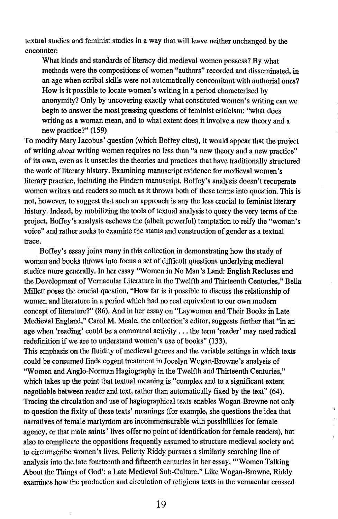textual studies and feminist studies in a way that will leave neither unchanged by the encounter:

What kinds and standards of literacy did medieval women possess? By what methods were the compositions of women "authors" recorded and disseminated, in an age when scribal skills were not automatically concomitant with authorial ones? How is it possible to locate women's writing in a period characterised by anonymity? Only by uncovering exactly what constituted women's writing can we begin to answer the most pressing questions of feminist criticism: "what does writing as a woman mean, and to what extent does it involve a new theory and a new practice?" (159)

To modify Mary Jacobus' question (which Boffey cites), it would appear that the project of writing *about* writing women requires no less than "a new theory and a new practice" of its own, even as it unsettles the theories and practices that have traditionally structured the work of literary history. Examining manuscript evidence for medieval women's literary practice, including the Findern manuscript, Boffey's analysis doesn't recuperate women writers and readers so much as it throws both of these terms into question. This is not, however, to suggest that such an approach is any the less crucial to feminist literary history. Indeed, by mobilizing the tools of textual analysis to query the very terms of the project, Boffey's analysis eschews the (albeit powerful) temptation to reify the "woman's voice" and rather seeks to examine the status and construction of gender as a textual trace.

Boffey's essay joins many in this collection in demonstrating how the study of women and books throws into focus a set of difficult questions underlying medieval studies more generally. In her essay "Women in No Man's Land: English Recluses and the Development of Vernacular Literature in the Twelfth and Thirteenth Centuries," Bella Millett poses the crucial question, "How far is it possible to discuss the relationship of women and literature in a period which had no real equivalent to our own modern concept of literature?" (86). And in her essay on "Laywomen and Their Books in Late Medieval England," Carol M. Meale, the collection's editor, suggests further that "in an age when 'reading' could be a communal activity ... the term 'reader' may need radical redefinition if we are to understand women's use of books" (133).

This emphasis on the fluidity of medieval genres and the variable settings in which texts could be consumed finds cogent treatment in Jocelyn Wogan-Browne's analysis of "Women and Anglo-Norman Hagiography in the Twelfth and Thirteenth Centuries," which takes up the point that textual meaning is "complex and to a significant extent negotiable between reader and text, rather than automatically fixed by the text" (64). Tracing the circulation and use of hagiographical texts enables Wogan-Browne not only to question the fixity of these texts' meanings (for example, she questions the idea that narratives of female martyrdom are incommensurable with possibilities for female agency, or that male saints'lives offer no point of identification for female readers), but also to complicate the oppositions frequently assumed to structure medieval society and to circumscribe women's lives. Felicity Riddy pursues a similarly searching line of analysis into the late fourteenth and fifteenth centuries in her essay, '''Women Talking About the Things of God': a Late Medieval Sub-Culture." Like Wogan-Browne, Riddy examines how the production and circulation of religious texts in the vernacular crossed